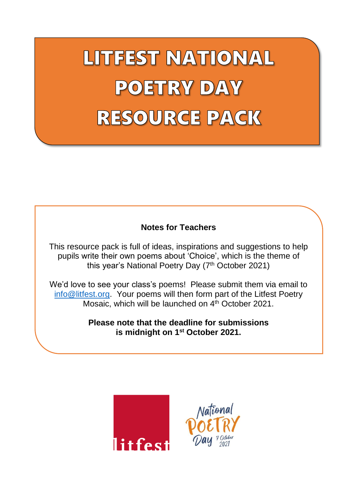LITFEST NATIONAL **POETRY DAY** RESOURCE PACK

#### **Notes for Teachers**

This resource pack is full of ideas, inspirations and suggestions to help pupils write their own poems about 'Choice', which is the theme of this year's National Poetry Day (7<sup>th</sup> October 2021)

We'd love to see your class's poems! Please submit them via email to [info@litfest.org.](mailto:info@litfest.org) Your poems will then form part of the Litfest Poetry Mosaic, which will be launched on 4<sup>th</sup> October 2021.

> **Please note that the deadline for submissions is midnight on 1st October 2021.**



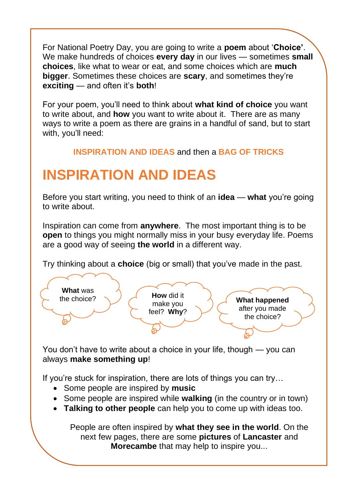For National Poetry Day, you are going to write a **poem** about '**Choice'**. We make hundreds of choices **every day** in our lives — sometimes **small choices**, like what to wear or eat, and some choices which are **much bigger**. Sometimes these choices are **scary**, and sometimes they're **exciting** — and often it's **both**!

For your poem, you'll need to think about **what kind of choice** you want to write about, and **how** you want to write about it. There are as many ways to write a poem as there are grains in a handful of sand, but to start with, you'll need:

**INSPIRATION AND IDEAS** and then a **BAG OF TRICKS**

# **INSPIRATION AND IDEAS**

Before you start writing, you need to think of an **idea** — **what** you're going to write about.

Inspiration can come from **anywhere**. The most important thing is to be **open** to things you might normally miss in your busy everyday life. Poems are a good way of seeing **the world** in a different way.

Try thinking about a **choice** (big or small) that you've made in the past.



You don't have to write about a choice in your life, though — you can always **make something up**!

If you're stuck for inspiration, there are lots of things you can try…

- Some people are inspired by **music**
- Some people are inspired while **walking** (in the country or in town)
- **Talking to other people** can help you to come up with ideas too.

People are often inspired by **what they see in the world**. On the next few pages, there are some **pictures** of **Lancaster** and **Morecambe** that may help to inspire you...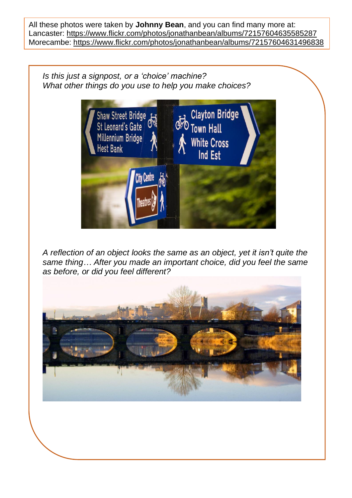All these photos were taken by **Johnny Bean**, and you can find many more at: Lancaster: <https://www.flickr.com/photos/jonathanbean/albums/72157604635585287> Morecambe: <https://www.flickr.com/photos/jonathanbean/albums/72157604631496838>

*Is this just a signpost, or a 'choice' machine? What other things do you use to help you make choices?*



*A reflection of an object looks the same as an object, yet it isn't quite the same thing… After you made an important choice, did you feel the same as before, or did you feel different?*

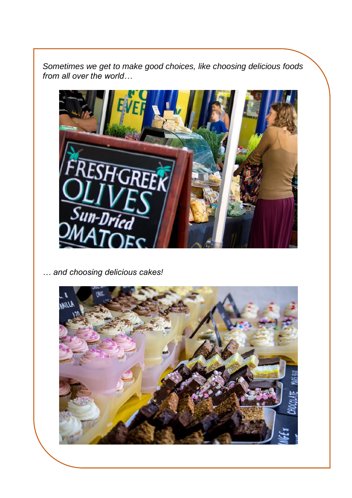*Sometimes we get to make good choices, like choosing delicious foods from all over the world…*



*… and choosing delicious cakes!*

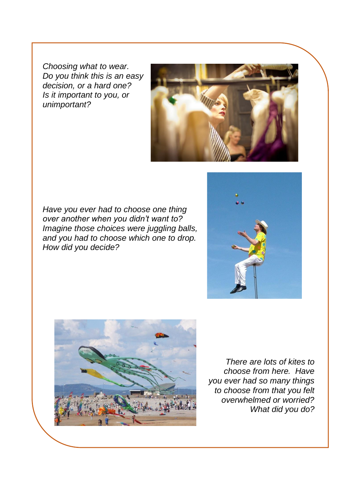*Choosing what to wear. Do you think this is an easy decision, or a hard one? Is it important to you, or unimportant?*



*Have you ever had to choose one thing over another when you didn't want to? Imagine those choices were juggling balls, and you had to choose which one to drop. How did you decide?*





*There are lots of kites to choose from here. Have you ever had so many things to choose from that you felt overwhelmed or worried? What did you do?*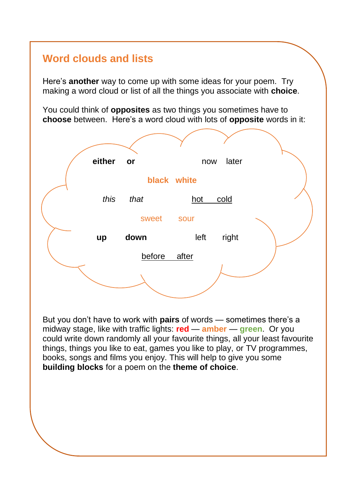### **Word clouds and lists**

Here's **another** way to come up with some ideas for your poem. Try making a word cloud or list of all the things you associate with **choice**.

You could think of **opposites** as two things you sometimes have to **choose** between. Here's a word cloud with lots of **opposite** words in it:



But you don't have to work with **pairs** of words — sometimes there's a midway stage, like with traffic lights: **red** — **amber** — **green**. Or you could write down randomly all your favourite things, all your least favourite things, things you like to eat, games you like to play, or TV programmes, books, songs and films you enjoy. This will help to give you some **building blocks** for a poem on the **theme of choice**.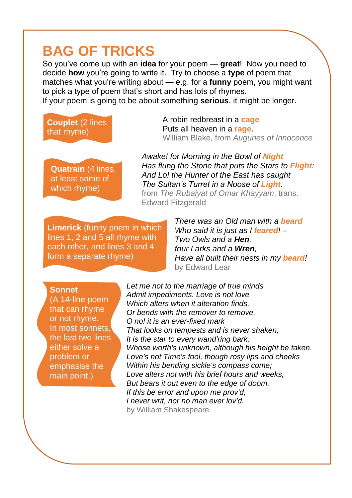## **BAG OF TRICKS**

So you've come up with an **idea** for your poem — **great**! Now you need to decide **how** you're going to write it. Try to choose a **type** of poem that matches what you're writing about — e.g. for a **funny** poem, you might want to pick a type of poem that's short and has lots of rhymes. If your poem is going to be about something **serious**, it might be longer.

### **Couplet** (2 lines that rhyme)

A robin redbreast in a **cage** Puts all heaven in a **rage**. William Blake, from *Auguries of Innocence*

**Quatrain** (4 lines, at least some of which rhyme)

*Awake! for Morning in the Bowl of Night Has flung the Stone that puts the Stars to Flight: And Lo! the Hunter of the East has caught The Sultan's Turret in a Noose of Light.* from *The Rubaiyat of Omar Khayyam*, trans. Edward Fitzgerald

**Limerick** (funny poem in which lines 1, 2 and 5 all rhyme with each other, and lines 3 and 4 form a separate rhyme)

*There was an Old man with a beard Who said it is just as I feared! – Two Owls and a Hen, four Larks and a Wren, Have all built their nests in my beard!* by Edward Lear

#### **Sonnet**

(A 14-line poem that can rhyme or not rhyme. In most sonnets, the last two lines either solve a problem or emphasise the main point.)

*Let me not to the marriage of true minds Admit impediments. Love is not love Which alters when it alteration finds, Or bends with the remover to remove. O no! it is an ever-fixed mark That looks on tempests and is never shaken; It is the star to every wand'ring bark, Whose worth's unknown, although his height be taken. Love's not Time's fool, though rosy lips and cheeks Within his bending sickle's compass come; Love alters not with his brief hours and weeks, But bears it out even to the edge of doom. If this be error and upon me prov'd, I never writ, nor no man ever lov'd.* by William Shakespeare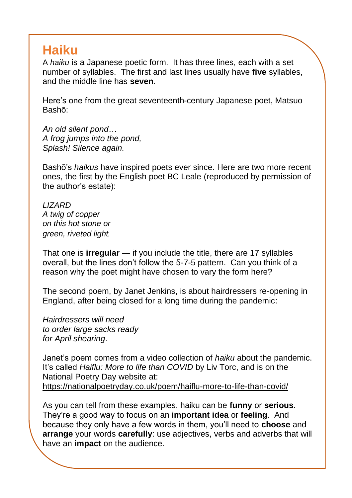## **Haiku**

A *haiku* is a Japanese poetic form. It has three lines, each with a set number of syllables. The first and last lines usually have **five** syllables, and the middle line has **seven**.

Here's one from the great seventeenth-century Japanese poet, Matsuo Bashō:

*An old silent pond… A frog jumps into the pond, Splash! Silence again.*

Bashō's *haikus* have inspired poets ever since. Here are two more recent ones, the first by the English poet BC Leale (reproduced by permission of the author's estate):

*LIZARD A twig of copper on this hot stone or green, riveted light.*

That one is **irregular** — if you include the title, there are 17 syllables overall, but the lines don't follow the 5-7-5 pattern. Can you think of a reason why the poet might have chosen to vary the form here?

The second poem, by Janet Jenkins, is about hairdressers re-opening in England, after being closed for a long time during the pandemic:

*Hairdressers will need to order large sacks ready for April shearing*.

Janet's poem comes from a video collection of *haiku* about the pandemic. It's called *Haiflu: More to life than COVID* by Liv Torc, and is on the National Poetry Day website at: <https://nationalpoetryday.co.uk/poem/haiflu-more-to-life-than-covid/>

As you can tell from these examples, haiku can be **funny** or **serious**. They're a good way to focus on an **important idea** or **feeling**. And because they only have a few words in them, you'll need to **choose** and **arrange** your words **carefully**: use adjectives, verbs and adverbs that will have an **impact** on the audience.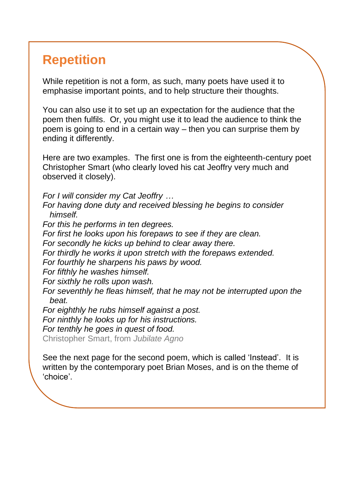## **Repetition**

While repetition is not a form, as such, many poets have used it to emphasise important points, and to help structure their thoughts.

You can also use it to set up an expectation for the audience that the poem then fulfils. Or, you might use it to lead the audience to think the poem is going to end in a certain way – then you can surprise them by ending it differently.

Here are two examples. The first one is from the eighteenth-century poet Christopher Smart (who clearly loved his cat Jeoffry very much and observed it closely).

*For I will consider my Cat Jeoffry …*

*For having done duty and received blessing he begins to consider himself.*

*For this he performs in ten degrees. For first he looks upon his forepaws to see if they are clean. For secondly he kicks up behind to clear away there.*

*For thirdly he works it upon stretch with the forepaws extended.*

*For fourthly he sharpens his paws by wood.*

*For fifthly he washes himself.*

*For sixthly he rolls upon wash.*

*For seventhly he fleas himself, that he may not be interrupted upon the beat.*

*For eighthly he rubs himself against a post. For ninthly he looks up for his instructions. For tenthly he goes in quest of food.*

Christopher Smart, from *Jubilate Agno*

See the next page for the second poem, which is called 'Instead'. It is written by the contemporary poet Brian Moses, and is on the theme of 'choice'.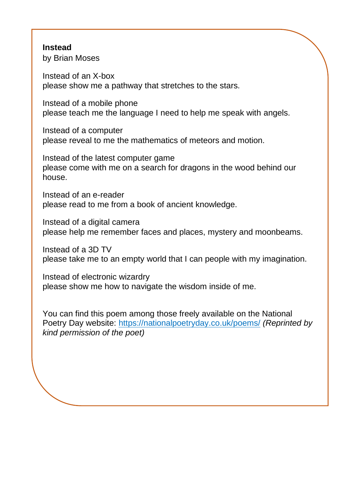#### **Instead**

by Brian Moses

Instead of an X-box please show me a pathway that stretches to the stars.

Instead of a mobile phone please teach me the language I need to help me speak with angels.

Instead of a computer please reveal to me the mathematics of meteors and motion.

Instead of the latest computer game please come with me on a search for dragons in the wood behind our house.

Instead of an e-reader please read to me from a book of ancient knowledge.

Instead of a digital camera please help me remember faces and places, mystery and moonbeams.

Instead of a 3D TV please take me to an empty world that I can people with my imagination.

Instead of electronic wizardry please show me how to navigate the wisdom inside of me.

You can find this poem among those freely available on the National Poetry Day website:<https://nationalpoetryday.co.uk/poems/> *(Reprinted by kind permission of the poet)*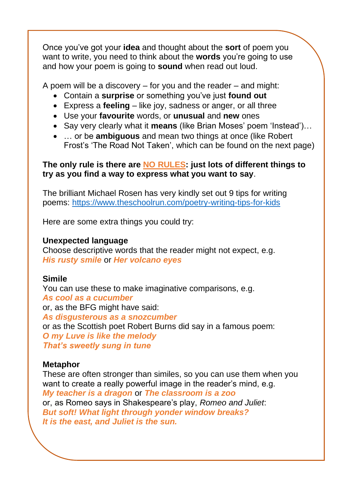Once you've got your **idea** and thought about the **sort** of poem you want to write, you need to think about the **words** you're going to use and how your poem is going to **sound** when read out loud.

A poem will be a discovery – for you and the reader – and might:

- Contain a **surprise** or something you've just **found out**
- Express a **feeling** like joy, sadness or anger, or all three
- Use your **favourite** words, or **unusual** and **new** ones
- Say very clearly what it **means** (like Brian Moses' poem 'Instead')…
- … or be **ambiguous** and mean two things at once (like Robert Frost's 'The Road Not Taken', which can be found on the next page)

#### **The only rule is there are NO RULES: just lots of different things to try as you find a way to express what you want to say**.

The brilliant Michael Rosen has very kindly set out 9 tips for writing poems:<https://www.theschoolrun.com/poetry-writing-tips-for-kids>

Here are some extra things you could try:

#### **Unexpected language**

Choose descriptive words that the reader might not expect, e.g. *His rusty smile* or *Her volcano eyes*

#### **Simile**

You can use these to make imaginative comparisons, e.g. *As cool as a cucumber* or, as the BFG might have said: *As disgusterous as a snozcumber* or as the Scottish poet Robert Burns did say in a famous poem: *O my Luve is like the melody That's sweetly sung in tune*

#### **Metaphor**

These are often stronger than similes, so you can use them when you want to create a really powerful image in the reader's mind, e.g. *My teacher is a dragon* or *The classroom is a zoo* or, as Romeo says in Shakespeare's play, *Romeo and Juliet*: *But soft! What light through yonder window breaks? It is the east, and Juliet is the sun.*